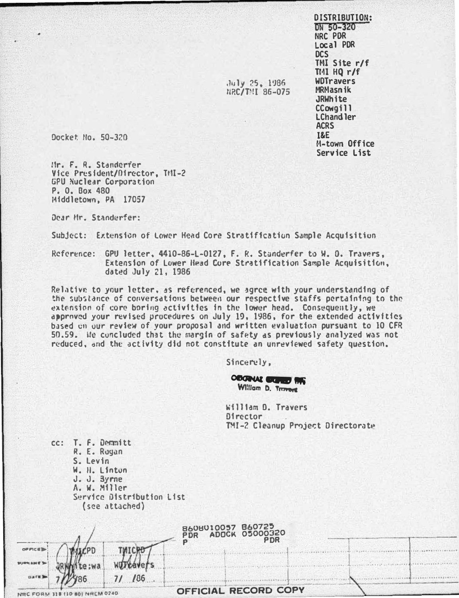DISTRIBUTION: ON 5o-320 NRC POR Local PDR **DCS** TMI Site r/f TMI HQ r/f WDTravers MRNasnik **JRWhite** CCowgill LChandler **ACRS** I&E 1�-town Office Service List

U?.C/Tr!I 86-075

.July :>s. 1'186

Docket, No. 50-320

llr. F. R. Stdnderier Vice President/Oirector, TMI-2 GPU Nuclear Corporatio<sup>n</sup> P. 0. Box 480 l�fddletown, PA 17057

Dear tlr. Standerfer:

Subject: Extension of Lower Head Core Stratification Sample Acquisition

Reference: GPU letter, 4410-86-L-0127, F. R. Standerfer to W. D. Travers, Extension of Lower Head Core Stratification Sample Acquisition. dated July 21, 1986

Relative to your letter, as referenced, we agree with your understanding of the substance of conversations between our respective staffs pertaining to the extension of core boring activities in the lower head. Consequently, we approved your revised procedures on July 19, 1986, for the extended activities based un our review of your proposal and written evaluation pursuant to 10 CFR 50.59. We concluded that the margin of safety as previously analyzed was not reduced, and the activity did not constitute an unreviewed safety question.

Sincerely ,

OBGRAAL GRAND MY

�i111am 0. Travers Director TMI-2 Cleanup Project Directorate

|  | T. F. Demmitt<br>R. E. Rogan                |  |
|--|---------------------------------------------|--|
|  | S. Levin                                    |  |
|  | W. H. Linton<br>J. J. Byrne                 |  |
|  | A. W. Miller                                |  |
|  | Service Distribution List<br>(see attached) |  |

cc:

|                                                | B60725<br>8608010057<br><b>ADOCK 05000320</b><br>PDR<br>PDR<br>o |  |
|------------------------------------------------|------------------------------------------------------------------|--|
| OPPICE                                         |                                                                  |  |
| $S \cup \mathsf{PP}$ and $\blacktriangleright$ |                                                                  |  |
| /86                                            |                                                                  |  |
| NRC FORM 318 (10-80) NRCM 0240                 | OFFICIAL RECORD COPY                                             |  |